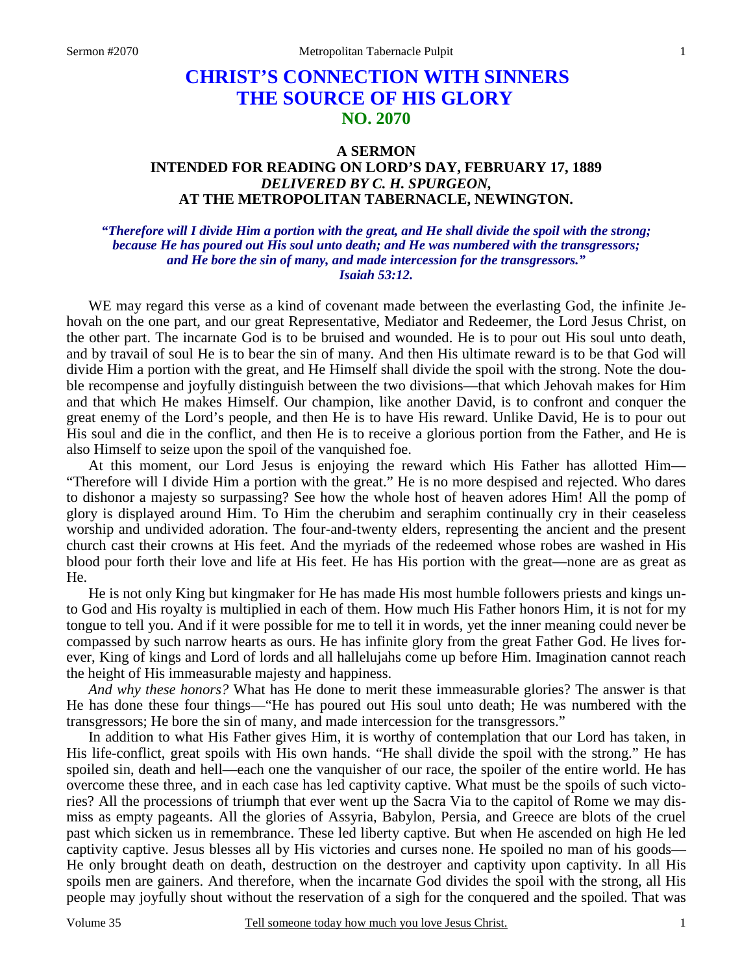# **CHRIST'S CONNECTION WITH SINNERS THE SOURCE OF HIS GLORY NO. 2070**

# **A SERMON INTENDED FOR READING ON LORD'S DAY, FEBRUARY 17, 1889**  *DELIVERED BY C. H. SPURGEON,*  **AT THE METROPOLITAN TABERNACLE, NEWINGTON.**

*"Therefore will I divide Him a portion with the great, and He shall divide the spoil with the strong; because He has poured out His soul unto death; and He was numbered with the transgressors; and He bore the sin of many, and made intercession for the transgressors." Isaiah 53:12.* 

WE may regard this verse as a kind of covenant made between the everlasting God, the infinite Jehovah on the one part, and our great Representative, Mediator and Redeemer, the Lord Jesus Christ, on the other part. The incarnate God is to be bruised and wounded. He is to pour out His soul unto death, and by travail of soul He is to bear the sin of many. And then His ultimate reward is to be that God will divide Him a portion with the great, and He Himself shall divide the spoil with the strong. Note the double recompense and joyfully distinguish between the two divisions—that which Jehovah makes for Him and that which He makes Himself. Our champion, like another David, is to confront and conquer the great enemy of the Lord's people, and then He is to have His reward. Unlike David, He is to pour out His soul and die in the conflict, and then He is to receive a glorious portion from the Father, and He is also Himself to seize upon the spoil of the vanquished foe.

At this moment, our Lord Jesus is enjoying the reward which His Father has allotted Him— "Therefore will I divide Him a portion with the great." He is no more despised and rejected. Who dares to dishonor a majesty so surpassing? See how the whole host of heaven adores Him! All the pomp of glory is displayed around Him. To Him the cherubim and seraphim continually cry in their ceaseless worship and undivided adoration. The four-and-twenty elders, representing the ancient and the present church cast their crowns at His feet. And the myriads of the redeemed whose robes are washed in His blood pour forth their love and life at His feet. He has His portion with the great—none are as great as He.

He is not only King but kingmaker for He has made His most humble followers priests and kings unto God and His royalty is multiplied in each of them. How much His Father honors Him, it is not for my tongue to tell you. And if it were possible for me to tell it in words, yet the inner meaning could never be compassed by such narrow hearts as ours. He has infinite glory from the great Father God. He lives forever, King of kings and Lord of lords and all hallelujahs come up before Him. Imagination cannot reach the height of His immeasurable majesty and happiness.

*And why these honors?* What has He done to merit these immeasurable glories? The answer is that He has done these four things—"He has poured out His soul unto death; He was numbered with the transgressors; He bore the sin of many, and made intercession for the transgressors."

In addition to what His Father gives Him, it is worthy of contemplation that our Lord has taken, in His life-conflict, great spoils with His own hands. "He shall divide the spoil with the strong." He has spoiled sin, death and hell—each one the vanquisher of our race, the spoiler of the entire world. He has overcome these three, and in each case has led captivity captive. What must be the spoils of such victories? All the processions of triumph that ever went up the Sacra Via to the capitol of Rome we may dismiss as empty pageants. All the glories of Assyria, Babylon, Persia, and Greece are blots of the cruel past which sicken us in remembrance. These led liberty captive. But when He ascended on high He led captivity captive. Jesus blesses all by His victories and curses none. He spoiled no man of his goods— He only brought death on death, destruction on the destroyer and captivity upon captivity. In all His spoils men are gainers. And therefore, when the incarnate God divides the spoil with the strong, all His people may joyfully shout without the reservation of a sigh for the conquered and the spoiled. That was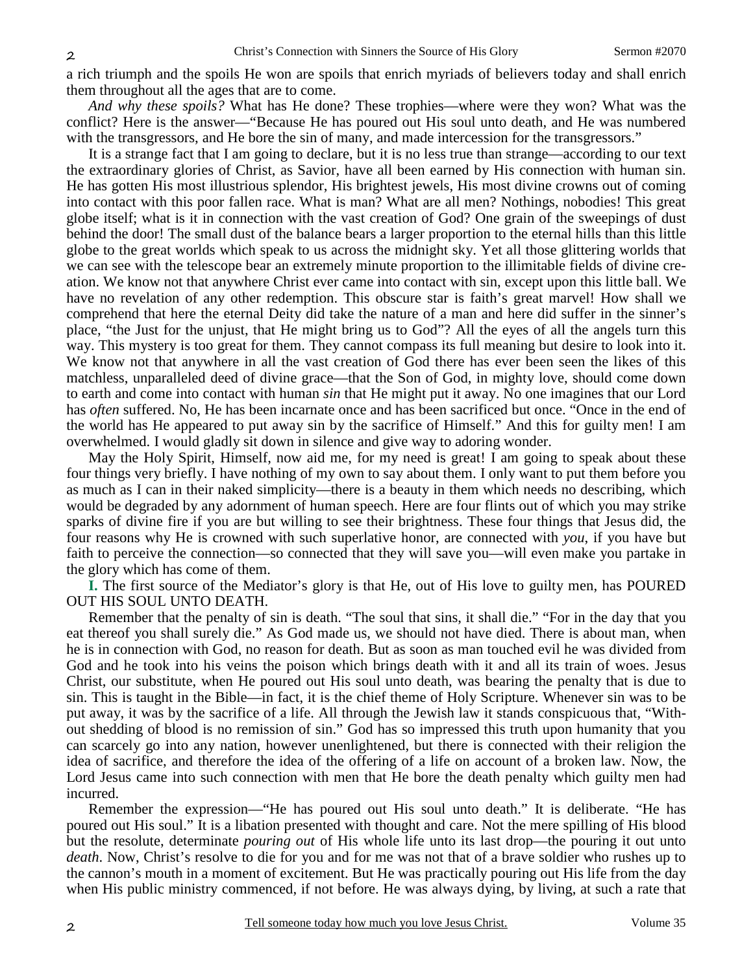a rich triumph and the spoils He won are spoils that enrich myriads of believers today and shall enrich them throughout all the ages that are to come.

*And why these spoils?* What has He done? These trophies—where were they won? What was the conflict? Here is the answer—"Because He has poured out His soul unto death, and He was numbered with the transgressors, and He bore the sin of many, and made intercession for the transgressors."

It is a strange fact that I am going to declare, but it is no less true than strange—according to our text the extraordinary glories of Christ, as Savior, have all been earned by His connection with human sin. He has gotten His most illustrious splendor, His brightest jewels, His most divine crowns out of coming into contact with this poor fallen race. What is man? What are all men? Nothings, nobodies! This great globe itself; what is it in connection with the vast creation of God? One grain of the sweepings of dust behind the door! The small dust of the balance bears a larger proportion to the eternal hills than this little globe to the great worlds which speak to us across the midnight sky. Yet all those glittering worlds that we can see with the telescope bear an extremely minute proportion to the illimitable fields of divine creation. We know not that anywhere Christ ever came into contact with sin, except upon this little ball. We have no revelation of any other redemption. This obscure star is faith's great marvel! How shall we comprehend that here the eternal Deity did take the nature of a man and here did suffer in the sinner's place, "the Just for the unjust, that He might bring us to God"? All the eyes of all the angels turn this way. This mystery is too great for them. They cannot compass its full meaning but desire to look into it. We know not that anywhere in all the vast creation of God there has ever been seen the likes of this matchless, unparalleled deed of divine grace—that the Son of God, in mighty love, should come down to earth and come into contact with human *sin* that He might put it away. No one imagines that our Lord has *often* suffered. No, He has been incarnate once and has been sacrificed but once. "Once in the end of the world has He appeared to put away sin by the sacrifice of Himself." And this for guilty men! I am overwhelmed. I would gladly sit down in silence and give way to adoring wonder.

May the Holy Spirit, Himself, now aid me, for my need is great! I am going to speak about these four things very briefly. I have nothing of my own to say about them. I only want to put them before you as much as I can in their naked simplicity—there is a beauty in them which needs no describing, which would be degraded by any adornment of human speech. Here are four flints out of which you may strike sparks of divine fire if you are but willing to see their brightness. These four things that Jesus did, the four reasons why He is crowned with such superlative honor, are connected with *you*, if you have but faith to perceive the connection—so connected that they will save you—will even make you partake in the glory which has come of them.

**I.** The first source of the Mediator's glory is that He, out of His love to guilty men, has POURED OUT HIS SOUL UNTO DEATH.

Remember that the penalty of sin is death. "The soul that sins, it shall die." "For in the day that you eat thereof you shall surely die." As God made us, we should not have died. There is about man, when he is in connection with God, no reason for death. But as soon as man touched evil he was divided from God and he took into his veins the poison which brings death with it and all its train of woes. Jesus Christ, our substitute, when He poured out His soul unto death, was bearing the penalty that is due to sin. This is taught in the Bible—in fact, it is the chief theme of Holy Scripture. Whenever sin was to be put away, it was by the sacrifice of a life. All through the Jewish law it stands conspicuous that, "Without shedding of blood is no remission of sin." God has so impressed this truth upon humanity that you can scarcely go into any nation, however unenlightened, but there is connected with their religion the idea of sacrifice, and therefore the idea of the offering of a life on account of a broken law. Now, the Lord Jesus came into such connection with men that He bore the death penalty which guilty men had incurred.

Remember the expression—"He has poured out His soul unto death." It is deliberate. "He has poured out His soul." It is a libation presented with thought and care. Not the mere spilling of His blood but the resolute, determinate *pouring out* of His whole life unto its last drop—the pouring it out unto *death*. Now, Christ's resolve to die for you and for me was not that of a brave soldier who rushes up to the cannon's mouth in a moment of excitement. But He was practically pouring out His life from the day when His public ministry commenced, if not before. He was always dying, by living, at such a rate that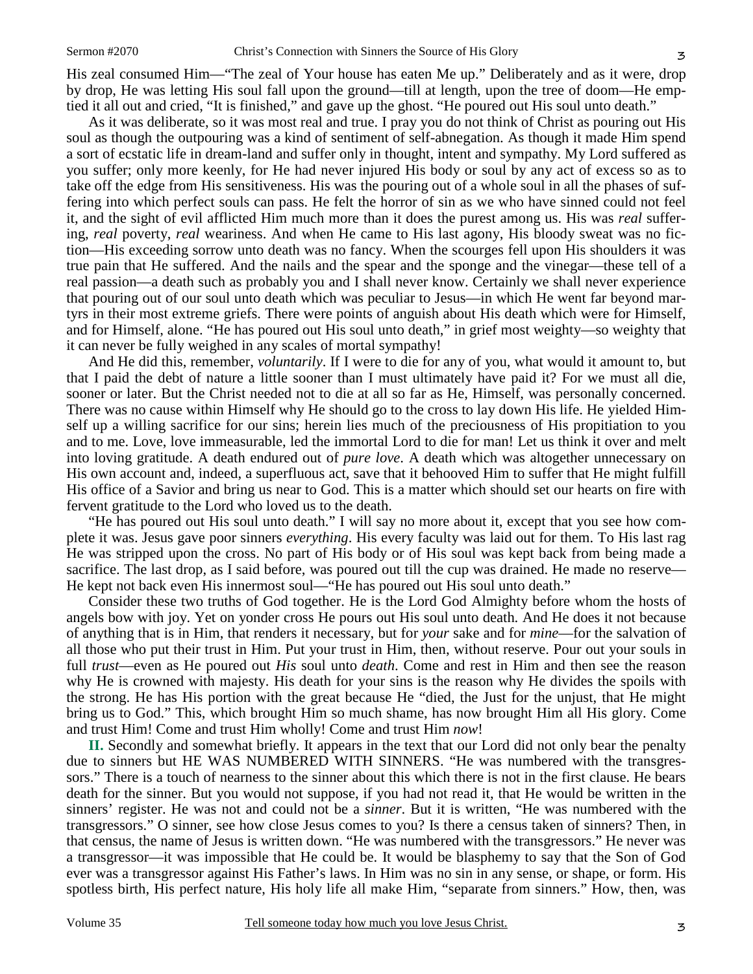His zeal consumed Him—"The zeal of Your house has eaten Me up." Deliberately and as it were, drop by drop, He was letting His soul fall upon the ground—till at length, upon the tree of doom—He emptied it all out and cried, "It is finished," and gave up the ghost. "He poured out His soul unto death."

As it was deliberate, so it was most real and true. I pray you do not think of Christ as pouring out His soul as though the outpouring was a kind of sentiment of self-abnegation. As though it made Him spend a sort of ecstatic life in dream-land and suffer only in thought, intent and sympathy. My Lord suffered as you suffer; only more keenly, for He had never injured His body or soul by any act of excess so as to take off the edge from His sensitiveness. His was the pouring out of a whole soul in all the phases of suffering into which perfect souls can pass. He felt the horror of sin as we who have sinned could not feel it, and the sight of evil afflicted Him much more than it does the purest among us. His was *real* suffering, *real* poverty, *real* weariness. And when He came to His last agony, His bloody sweat was no fiction—His exceeding sorrow unto death was no fancy. When the scourges fell upon His shoulders it was true pain that He suffered. And the nails and the spear and the sponge and the vinegar—these tell of a real passion—a death such as probably you and I shall never know. Certainly we shall never experience that pouring out of our soul unto death which was peculiar to Jesus—in which He went far beyond martyrs in their most extreme griefs. There were points of anguish about His death which were for Himself, and for Himself, alone. "He has poured out His soul unto death," in grief most weighty—so weighty that it can never be fully weighed in any scales of mortal sympathy!

And He did this, remember, *voluntarily*. If I were to die for any of you, what would it amount to, but that I paid the debt of nature a little sooner than I must ultimately have paid it? For we must all die, sooner or later. But the Christ needed not to die at all so far as He, Himself, was personally concerned. There was no cause within Himself why He should go to the cross to lay down His life. He yielded Himself up a willing sacrifice for our sins; herein lies much of the preciousness of His propitiation to you and to me. Love, love immeasurable, led the immortal Lord to die for man! Let us think it over and melt into loving gratitude. A death endured out of *pure love*. A death which was altogether unnecessary on His own account and, indeed, a superfluous act, save that it behooved Him to suffer that He might fulfill His office of a Savior and bring us near to God. This is a matter which should set our hearts on fire with fervent gratitude to the Lord who loved us to the death.

"He has poured out His soul unto death." I will say no more about it, except that you see how complete it was. Jesus gave poor sinners *everything*. His every faculty was laid out for them. To His last rag He was stripped upon the cross. No part of His body or of His soul was kept back from being made a sacrifice. The last drop, as I said before, was poured out till the cup was drained. He made no reserve— He kept not back even His innermost soul—"He has poured out His soul unto death."

Consider these two truths of God together. He is the Lord God Almighty before whom the hosts of angels bow with joy. Yet on yonder cross He pours out His soul unto death. And He does it not because of anything that is in Him, that renders it necessary, but for *your* sake and for *mine*—for the salvation of all those who put their trust in Him. Put your trust in Him, then, without reserve. Pour out your souls in full *trust*—even as He poured out *His* soul unto *death*. Come and rest in Him and then see the reason why He is crowned with majesty. His death for your sins is the reason why He divides the spoils with the strong. He has His portion with the great because He "died, the Just for the unjust, that He might bring us to God." This, which brought Him so much shame, has now brought Him all His glory. Come and trust Him! Come and trust Him wholly! Come and trust Him *now*!

**II.** Secondly and somewhat briefly. It appears in the text that our Lord did not only bear the penalty due to sinners but HE WAS NUMBERED WITH SINNERS. "He was numbered with the transgressors." There is a touch of nearness to the sinner about this which there is not in the first clause. He bears death for the sinner. But you would not suppose, if you had not read it, that He would be written in the sinners' register. He was not and could not be a *sinner*. But it is written, "He was numbered with the transgressors." O sinner, see how close Jesus comes to you? Is there a census taken of sinners? Then, in that census, the name of Jesus is written down. "He was numbered with the transgressors." He never was a transgressor—it was impossible that He could be. It would be blasphemy to say that the Son of God ever was a transgressor against His Father's laws. In Him was no sin in any sense, or shape, or form. His spotless birth, His perfect nature, His holy life all make Him, "separate from sinners." How, then, was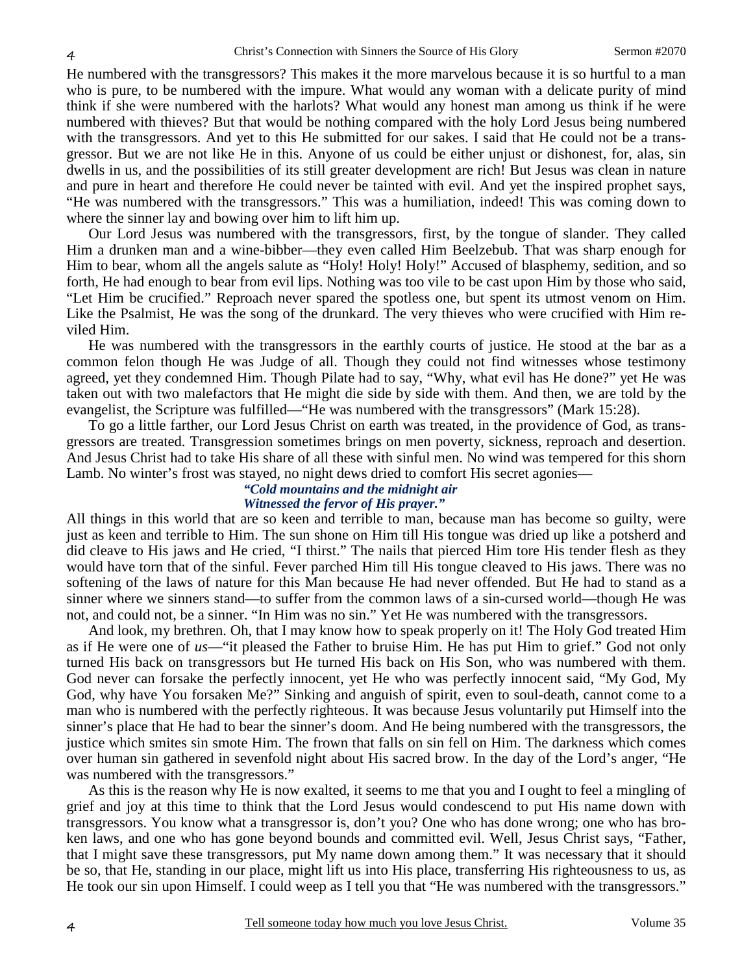He numbered with the transgressors? This makes it the more marvelous because it is so hurtful to a man who is pure, to be numbered with the impure. What would any woman with a delicate purity of mind think if she were numbered with the harlots? What would any honest man among us think if he were numbered with thieves? But that would be nothing compared with the holy Lord Jesus being numbered with the transgressors. And yet to this He submitted for our sakes. I said that He could not be a transgressor. But we are not like He in this. Anyone of us could be either unjust or dishonest, for, alas, sin dwells in us, and the possibilities of its still greater development are rich! But Jesus was clean in nature and pure in heart and therefore He could never be tainted with evil. And yet the inspired prophet says, "He was numbered with the transgressors." This was a humiliation, indeed! This was coming down to where the sinner lay and bowing over him to lift him up.

Our Lord Jesus was numbered with the transgressors, first, by the tongue of slander. They called Him a drunken man and a wine-bibber—they even called Him Beelzebub. That was sharp enough for Him to bear, whom all the angels salute as "Holy! Holy! Holy!" Accused of blasphemy, sedition, and so forth, He had enough to bear from evil lips. Nothing was too vile to be cast upon Him by those who said, "Let Him be crucified." Reproach never spared the spotless one, but spent its utmost venom on Him. Like the Psalmist, He was the song of the drunkard. The very thieves who were crucified with Him reviled Him.

He was numbered with the transgressors in the earthly courts of justice. He stood at the bar as a common felon though He was Judge of all. Though they could not find witnesses whose testimony agreed, yet they condemned Him. Though Pilate had to say, "Why, what evil has He done?" yet He was taken out with two malefactors that He might die side by side with them. And then, we are told by the evangelist, the Scripture was fulfilled—"He was numbered with the transgressors" (Mark 15:28).

To go a little farther, our Lord Jesus Christ on earth was treated, in the providence of God, as transgressors are treated. Transgression sometimes brings on men poverty, sickness, reproach and desertion. And Jesus Christ had to take His share of all these with sinful men. No wind was tempered for this shorn Lamb. No winter's frost was stayed, no night dews dried to comfort His secret agonies—

#### *"Cold mountains and the midnight air Witnessed the fervor of His prayer."*

All things in this world that are so keen and terrible to man, because man has become so guilty, were just as keen and terrible to Him. The sun shone on Him till His tongue was dried up like a potsherd and did cleave to His jaws and He cried, "I thirst." The nails that pierced Him tore His tender flesh as they would have torn that of the sinful. Fever parched Him till His tongue cleaved to His jaws. There was no softening of the laws of nature for this Man because He had never offended. But He had to stand as a sinner where we sinners stand—to suffer from the common laws of a sin-cursed world—though He was not, and could not, be a sinner. "In Him was no sin." Yet He was numbered with the transgressors.

And look, my brethren. Oh, that I may know how to speak properly on it! The Holy God treated Him as if He were one of *us*—"it pleased the Father to bruise Him. He has put Him to grief." God not only turned His back on transgressors but He turned His back on His Son, who was numbered with them. God never can forsake the perfectly innocent, yet He who was perfectly innocent said, "My God, My God, why have You forsaken Me?" Sinking and anguish of spirit, even to soul-death, cannot come to a man who is numbered with the perfectly righteous. It was because Jesus voluntarily put Himself into the sinner's place that He had to bear the sinner's doom. And He being numbered with the transgressors, the justice which smites sin smote Him. The frown that falls on sin fell on Him. The darkness which comes over human sin gathered in sevenfold night about His sacred brow. In the day of the Lord's anger, "He was numbered with the transgressors."

As this is the reason why He is now exalted, it seems to me that you and I ought to feel a mingling of grief and joy at this time to think that the Lord Jesus would condescend to put His name down with transgressors. You know what a transgressor is, don't you? One who has done wrong; one who has broken laws, and one who has gone beyond bounds and committed evil. Well, Jesus Christ says, "Father, that I might save these transgressors, put My name down among them." It was necessary that it should be so, that He, standing in our place, might lift us into His place, transferring His righteousness to us, as He took our sin upon Himself. I could weep as I tell you that "He was numbered with the transgressors."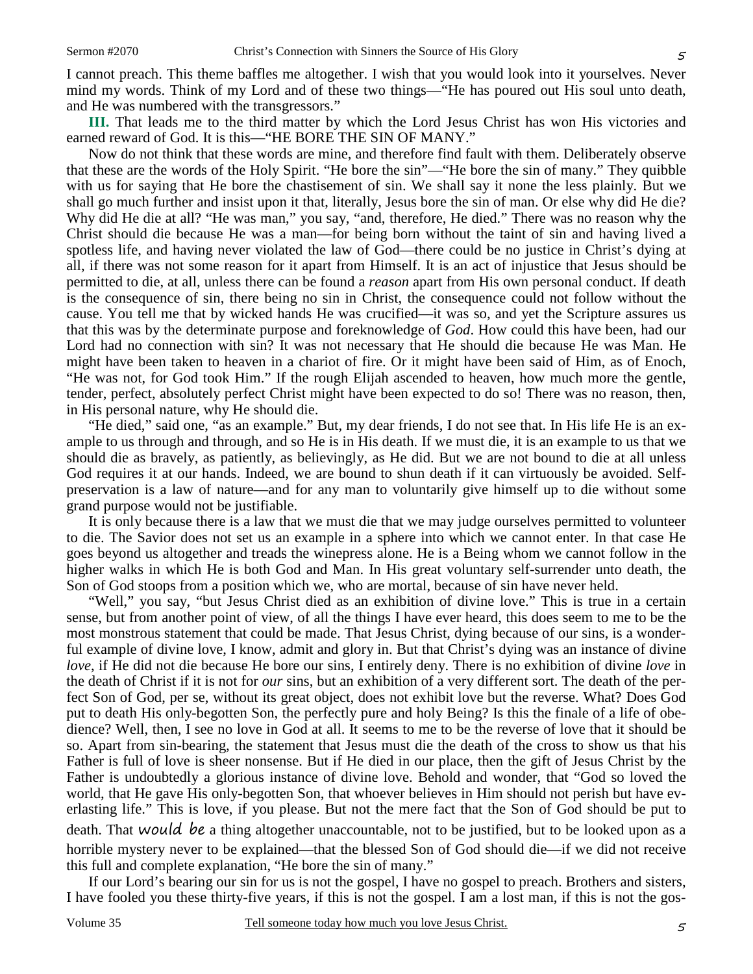I cannot preach. This theme baffles me altogether. I wish that you would look into it yourselves. Never mind my words. Think of my Lord and of these two things—"He has poured out His soul unto death, and He was numbered with the transgressors."

**III.** That leads me to the third matter by which the Lord Jesus Christ has won His victories and earned reward of God. It is this—"HE BORE THE SIN OF MANY."

Now do not think that these words are mine, and therefore find fault with them. Deliberately observe that these are the words of the Holy Spirit. "He bore the sin"—"He bore the sin of many." They quibble with us for saying that He bore the chastisement of sin. We shall say it none the less plainly. But we shall go much further and insist upon it that, literally, Jesus bore the sin of man. Or else why did He die? Why did He die at all? "He was man," you say, "and, therefore, He died." There was no reason why the Christ should die because He was a man—for being born without the taint of sin and having lived a spotless life, and having never violated the law of God—there could be no justice in Christ's dying at all, if there was not some reason for it apart from Himself. It is an act of injustice that Jesus should be permitted to die, at all, unless there can be found a *reason* apart from His own personal conduct. If death is the consequence of sin, there being no sin in Christ, the consequence could not follow without the cause. You tell me that by wicked hands He was crucified—it was so, and yet the Scripture assures us that this was by the determinate purpose and foreknowledge of *God*. How could this have been, had our Lord had no connection with sin? It was not necessary that He should die because He was Man. He might have been taken to heaven in a chariot of fire. Or it might have been said of Him, as of Enoch, "He was not, for God took Him." If the rough Elijah ascended to heaven, how much more the gentle, tender, perfect, absolutely perfect Christ might have been expected to do so! There was no reason, then, in His personal nature, why He should die.

"He died," said one, "as an example." But, my dear friends, I do not see that. In His life He is an example to us through and through, and so He is in His death. If we must die, it is an example to us that we should die as bravely, as patiently, as believingly, as He did. But we are not bound to die at all unless God requires it at our hands. Indeed, we are bound to shun death if it can virtuously be avoided. Selfpreservation is a law of nature—and for any man to voluntarily give himself up to die without some grand purpose would not be justifiable.

It is only because there is a law that we must die that we may judge ourselves permitted to volunteer to die. The Savior does not set us an example in a sphere into which we cannot enter. In that case He goes beyond us altogether and treads the winepress alone. He is a Being whom we cannot follow in the higher walks in which He is both God and Man. In His great voluntary self-surrender unto death, the Son of God stoops from a position which we, who are mortal, because of sin have never held.

"Well," you say, "but Jesus Christ died as an exhibition of divine love." This is true in a certain sense, but from another point of view, of all the things I have ever heard, this does seem to me to be the most monstrous statement that could be made. That Jesus Christ, dying because of our sins, is a wonderful example of divine love, I know, admit and glory in. But that Christ's dying was an instance of divine *love*, if He did not die because He bore our sins, I entirely deny. There is no exhibition of divine *love* in the death of Christ if it is not for *our* sins, but an exhibition of a very different sort. The death of the perfect Son of God, per se, without its great object, does not exhibit love but the reverse. What? Does God put to death His only-begotten Son, the perfectly pure and holy Being? Is this the finale of a life of obedience? Well, then, I see no love in God at all. It seems to me to be the reverse of love that it should be so. Apart from sin-bearing, the statement that Jesus must die the death of the cross to show us that his Father is full of love is sheer nonsense. But if He died in our place, then the gift of Jesus Christ by the Father is undoubtedly a glorious instance of divine love. Behold and wonder, that "God so loved the world, that He gave His only-begotten Son, that whoever believes in Him should not perish but have everlasting life." This is love, if you please. But not the mere fact that the Son of God should be put to death. That would be a thing altogether unaccountable, not to be justified, but to be looked upon as a horrible mystery never to be explained—that the blessed Son of God should die—if we did not receive this full and complete explanation, "He bore the sin of many."

If our Lord's bearing our sin for us is not the gospel, I have no gospel to preach. Brothers and sisters, I have fooled you these thirty-five years, if this is not the gospel. I am a lost man, if this is not the gos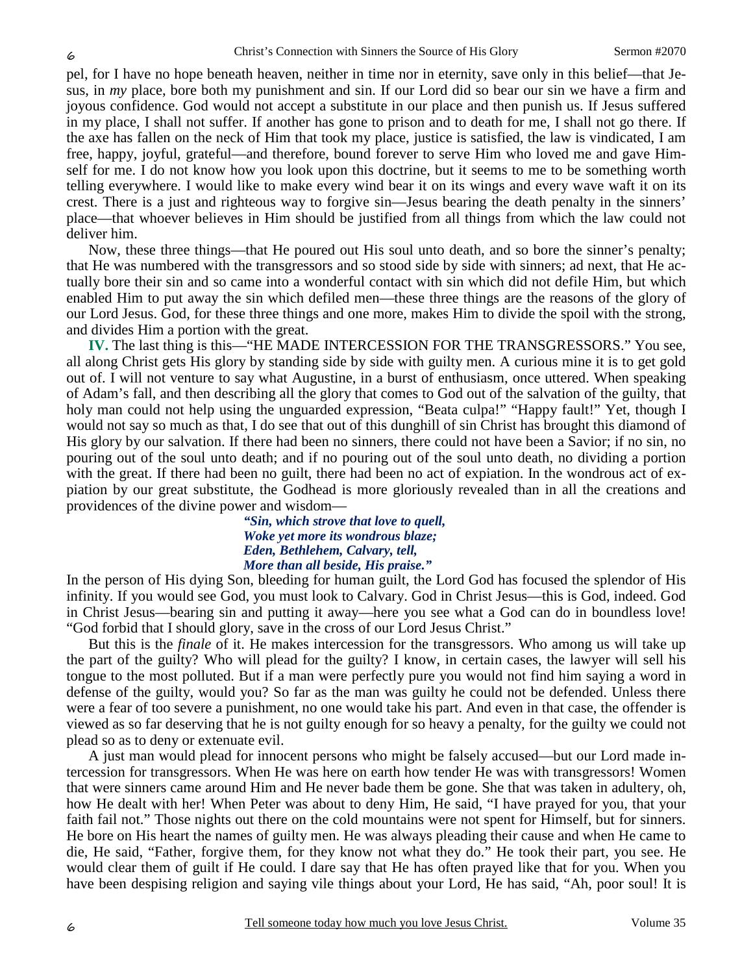pel, for I have no hope beneath heaven, neither in time nor in eternity, save only in this belief—that Jesus, in *my* place, bore both my punishment and sin. If our Lord did so bear our sin we have a firm and joyous confidence. God would not accept a substitute in our place and then punish us. If Jesus suffered in my place, I shall not suffer. If another has gone to prison and to death for me, I shall not go there. If the axe has fallen on the neck of Him that took my place, justice is satisfied, the law is vindicated, I am free, happy, joyful, grateful—and therefore, bound forever to serve Him who loved me and gave Himself for me. I do not know how you look upon this doctrine, but it seems to me to be something worth telling everywhere. I would like to make every wind bear it on its wings and every wave waft it on its crest. There is a just and righteous way to forgive sin—Jesus bearing the death penalty in the sinners' place—that whoever believes in Him should be justified from all things from which the law could not deliver him.

Now, these three things—that He poured out His soul unto death, and so bore the sinner's penalty; that He was numbered with the transgressors and so stood side by side with sinners; ad next, that He actually bore their sin and so came into a wonderful contact with sin which did not defile Him, but which enabled Him to put away the sin which defiled men—these three things are the reasons of the glory of our Lord Jesus. God, for these three things and one more, makes Him to divide the spoil with the strong, and divides Him a portion with the great.

**IV.** The last thing is this—"HE MADE INTERCESSION FOR THE TRANSGRESSORS." You see, all along Christ gets His glory by standing side by side with guilty men. A curious mine it is to get gold out of. I will not venture to say what Augustine, in a burst of enthusiasm, once uttered. When speaking of Adam's fall, and then describing all the glory that comes to God out of the salvation of the guilty, that holy man could not help using the unguarded expression, "Beata culpa!" "Happy fault!" Yet, though I would not say so much as that, I do see that out of this dunghill of sin Christ has brought this diamond of His glory by our salvation. If there had been no sinners, there could not have been a Savior; if no sin, no pouring out of the soul unto death; and if no pouring out of the soul unto death, no dividing a portion with the great. If there had been no guilt, there had been no act of expiation. In the wondrous act of expiation by our great substitute, the Godhead is more gloriously revealed than in all the creations and providences of the divine power and wisdom—

*"Sin, which strove that love to quell, Woke yet more its wondrous blaze; Eden, Bethlehem, Calvary, tell, More than all beside, His praise."* 

In the person of His dying Son, bleeding for human guilt, the Lord God has focused the splendor of His infinity. If you would see God, you must look to Calvary. God in Christ Jesus—this is God, indeed. God in Christ Jesus—bearing sin and putting it away—here you see what a God can do in boundless love! "God forbid that I should glory, save in the cross of our Lord Jesus Christ."

But this is the *finale* of it. He makes intercession for the transgressors. Who among us will take up the part of the guilty? Who will plead for the guilty? I know, in certain cases, the lawyer will sell his tongue to the most polluted. But if a man were perfectly pure you would not find him saying a word in defense of the guilty, would you? So far as the man was guilty he could not be defended. Unless there were a fear of too severe a punishment, no one would take his part. And even in that case, the offender is viewed as so far deserving that he is not guilty enough for so heavy a penalty, for the guilty we could not plead so as to deny or extenuate evil.

A just man would plead for innocent persons who might be falsely accused—but our Lord made intercession for transgressors. When He was here on earth how tender He was with transgressors! Women that were sinners came around Him and He never bade them be gone. She that was taken in adultery, oh, how He dealt with her! When Peter was about to deny Him, He said, "I have prayed for you, that your faith fail not." Those nights out there on the cold mountains were not spent for Himself, but for sinners. He bore on His heart the names of guilty men. He was always pleading their cause and when He came to die, He said, "Father, forgive them, for they know not what they do." He took their part, you see. He would clear them of guilt if He could. I dare say that He has often prayed like that for you. When you have been despising religion and saying vile things about your Lord, He has said, "Ah, poor soul! It is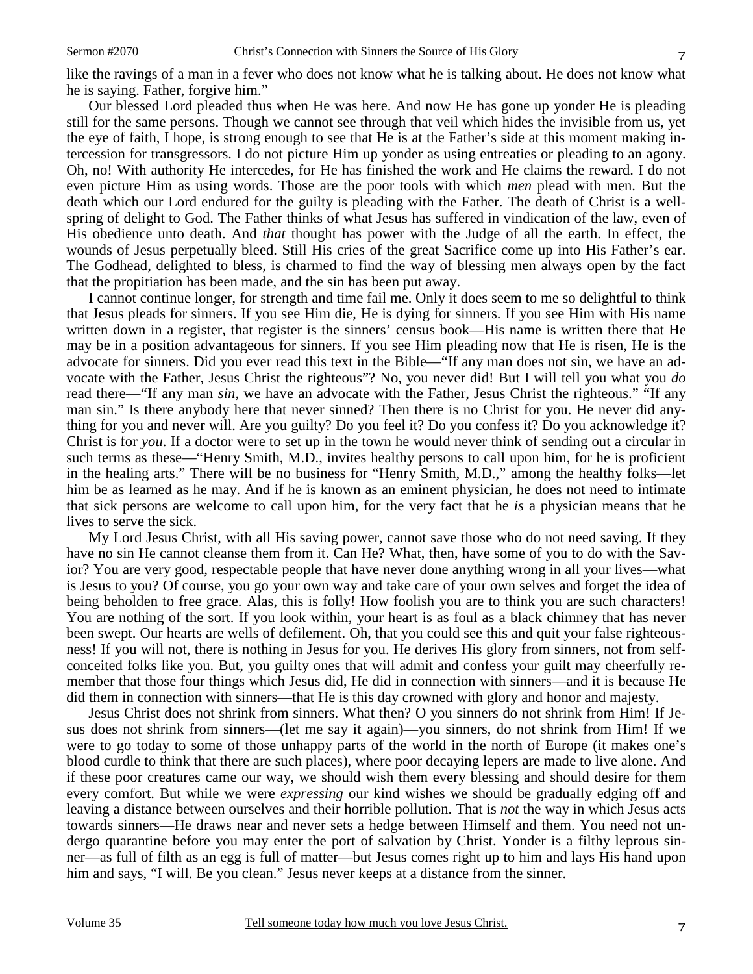like the ravings of a man in a fever who does not know what he is talking about. He does not know what he is saying. Father, forgive him."

Our blessed Lord pleaded thus when He was here. And now He has gone up yonder He is pleading still for the same persons. Though we cannot see through that veil which hides the invisible from us, yet the eye of faith, I hope, is strong enough to see that He is at the Father's side at this moment making intercession for transgressors. I do not picture Him up yonder as using entreaties or pleading to an agony. Oh, no! With authority He intercedes, for He has finished the work and He claims the reward. I do not even picture Him as using words. Those are the poor tools with which *men* plead with men. But the death which our Lord endured for the guilty is pleading with the Father. The death of Christ is a wellspring of delight to God. The Father thinks of what Jesus has suffered in vindication of the law, even of His obedience unto death. And *that* thought has power with the Judge of all the earth. In effect, the wounds of Jesus perpetually bleed. Still His cries of the great Sacrifice come up into His Father's ear. The Godhead, delighted to bless, is charmed to find the way of blessing men always open by the fact that the propitiation has been made, and the sin has been put away.

I cannot continue longer, for strength and time fail me. Only it does seem to me so delightful to think that Jesus pleads for sinners. If you see Him die, He is dying for sinners. If you see Him with His name written down in a register, that register is the sinners' census book—His name is written there that He may be in a position advantageous for sinners. If you see Him pleading now that He is risen, He is the advocate for sinners. Did you ever read this text in the Bible—"If any man does not sin, we have an advocate with the Father, Jesus Christ the righteous"? No, you never did! But I will tell you what you *do* read there—"If any man *sin,* we have an advocate with the Father, Jesus Christ the righteous." "If any man sin." Is there anybody here that never sinned? Then there is no Christ for you. He never did anything for you and never will. Are you guilty? Do you feel it? Do you confess it? Do you acknowledge it? Christ is for *you*. If a doctor were to set up in the town he would never think of sending out a circular in such terms as these—"Henry Smith, M.D., invites healthy persons to call upon him, for he is proficient in the healing arts." There will be no business for "Henry Smith, M.D.," among the healthy folks—let him be as learned as he may. And if he is known as an eminent physician, he does not need to intimate that sick persons are welcome to call upon him, for the very fact that he *is* a physician means that he lives to serve the sick.

My Lord Jesus Christ, with all His saving power, cannot save those who do not need saving. If they have no sin He cannot cleanse them from it. Can He? What, then, have some of you to do with the Savior? You are very good, respectable people that have never done anything wrong in all your lives—what is Jesus to you? Of course, you go your own way and take care of your own selves and forget the idea of being beholden to free grace. Alas, this is folly! How foolish you are to think you are such characters! You are nothing of the sort. If you look within, your heart is as foul as a black chimney that has never been swept. Our hearts are wells of defilement. Oh, that you could see this and quit your false righteousness! If you will not, there is nothing in Jesus for you. He derives His glory from sinners, not from selfconceited folks like you. But, you guilty ones that will admit and confess your guilt may cheerfully remember that those four things which Jesus did, He did in connection with sinners—and it is because He did them in connection with sinners—that He is this day crowned with glory and honor and majesty.

Jesus Christ does not shrink from sinners. What then? O you sinners do not shrink from Him! If Jesus does not shrink from sinners—(let me say it again)—you sinners, do not shrink from Him! If we were to go today to some of those unhappy parts of the world in the north of Europe (it makes one's blood curdle to think that there are such places), where poor decaying lepers are made to live alone. And if these poor creatures came our way, we should wish them every blessing and should desire for them every comfort. But while we were *expressing* our kind wishes we should be gradually edging off and leaving a distance between ourselves and their horrible pollution. That is *not* the way in which Jesus acts towards sinners—He draws near and never sets a hedge between Himself and them. You need not undergo quarantine before you may enter the port of salvation by Christ. Yonder is a filthy leprous sinner—as full of filth as an egg is full of matter—but Jesus comes right up to him and lays His hand upon him and says, "I will. Be you clean." Jesus never keeps at a distance from the sinner.